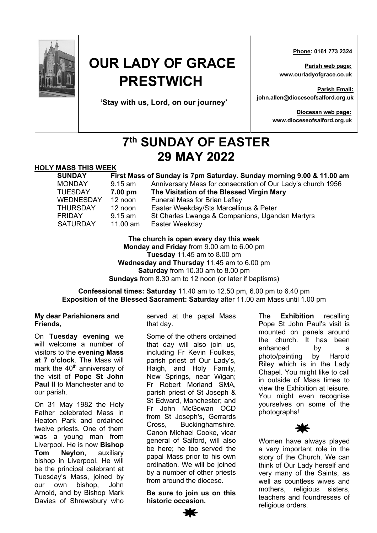

# **OUR LADY OF GRACE PRESTWICH**

**'Stay with us, Lord, on our journey'**

 **Phone: 0161 773 2324**

**Parish web page: www.ourladyofgrace.co.uk**

**Parish Email: john.allen@dioceseofsalford.org.uk**

> **Diocesan web page: www.dioceseofsalford.org.uk**

## **7th SUNDAY OF EASTER 29 MAY 2022**

#### **HOLY MASS THIS WEEK**

| First Mass of Sunday is 7pm Saturday. Sunday morning 9.00 & 11.00 am |
|----------------------------------------------------------------------|
| Anniversary Mass for consecration of Our Lady's church 1956          |
|                                                                      |
|                                                                      |
|                                                                      |
|                                                                      |
|                                                                      |
|                                                                      |

**The church is open every day this week Monday and Friday** from 9.00 am to 6.00 pm **Tuesday** 11.45 am to 8.00 pm **Wednesday and Thursday** 11.45 am to 6.00 pm **Saturday** from 10.30 am to 8.00 pm **Sundays** from 8.30 am to 12 noon (or later if baptisms)

#### **Confessional times: Saturday** 11.40 am to 12.50 pm, 6.00 pm to 6.40 pm **Exposition of the Blessed Sacrament: Saturday** after 11.00 am Mass until 1.00 pm

#### **My dear Parishioners and Friends,**

On **Tuesday evening** we will welcome a number of visitors to the **evening Mass at 7 o'clock**. The Mass will mark the  $40<sup>th</sup>$  anniversary of the visit of **Pope St John Paul II** to Manchester and to our parish.

On 31 May 1982 the Holy Father celebrated Mass in Heaton Park and ordained twelve priests. One of them was a young man from Liverpool. He is now **Bishop Tom Neylon**, auxiliary bishop in Liverpool. He will be the principal celebrant at Tuesday's Mass, joined by our own bishop, John Arnold, and by Bishop Mark Davies of Shrewsbury who

served at the papal Mass that day.

Some of the others ordained that day will also join us, including Fr Kevin Foulkes, parish priest of Our Lady's, Haigh, and Holy Family, New Springs, near Wigan; Fr Robert Morland SMA, parish priest of St Joseph & St Edward, Manchester; and Fr John McGowan OCD from St Joseph's, Gerrards Cross, Buckinghamshire. Canon Michael Cooke, vicar general of Salford, will also be here; he too served the papal Mass prior to his own ordination. We will be joined by a number of other priests from around the diocese.

**Be sure to join us on this historic occasion.**

The **Exhibition** recalling Pope St John Paul's visit is mounted on panels around the church. It has been enhanced by a photo/painting by Harold Riley which is in the Lady Chapel. You might like to call in outside of Mass times to view the Exhibition at leisure. You might even recognise yourselves on some of the photographs!



Women have always played a very important role in the story of the Church. We can think of Our Lady herself and very many of the Saints, as well as countless wives and mothers, religious sisters, teachers and foundresses of religious orders.